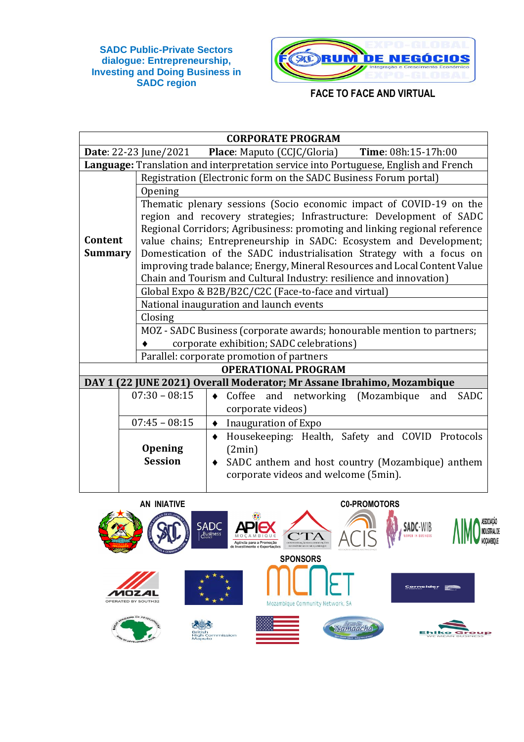

|                | <b>CORPORATE PROGRAM</b>                             |                                                                                      |  |  |  |  |  |  |
|----------------|------------------------------------------------------|--------------------------------------------------------------------------------------|--|--|--|--|--|--|
|                |                                                      | <b>Date:</b> 22-23 June/2021 Place: Maputo (CCJC/Gloria)<br>Time: 08h:15-17h:00      |  |  |  |  |  |  |
|                |                                                      | Language: Translation and interpretation service into Portuguese, English and French |  |  |  |  |  |  |
|                |                                                      | Registration (Electronic form on the SADC Business Forum portal)                     |  |  |  |  |  |  |
|                | Opening                                              |                                                                                      |  |  |  |  |  |  |
|                |                                                      | Thematic plenary sessions (Socio economic impact of COVID-19 on the                  |  |  |  |  |  |  |
|                |                                                      | region and recovery strategies; Infrastructure: Development of SADC                  |  |  |  |  |  |  |
|                |                                                      | Regional Corridors; Agribusiness: promoting and linking regional reference           |  |  |  |  |  |  |
| Content        |                                                      | value chains; Entrepreneurship in SADC: Ecosystem and Development;                   |  |  |  |  |  |  |
| <b>Summary</b> |                                                      | Domestication of the SADC industrialisation Strategy with a focus on                 |  |  |  |  |  |  |
|                |                                                      | improving trade balance; Energy, Mineral Resources and Local Content Value           |  |  |  |  |  |  |
|                |                                                      | Chain and Tourism and Cultural Industry: resilience and innovation)                  |  |  |  |  |  |  |
|                |                                                      | Global Expo & B2B/B2C/C2C (Face-to-face and virtual)                                 |  |  |  |  |  |  |
|                |                                                      | National inauguration and launch events                                              |  |  |  |  |  |  |
|                |                                                      | Closing                                                                              |  |  |  |  |  |  |
|                |                                                      | MOZ - SADC Business (corporate awards; honourable mention to partners;               |  |  |  |  |  |  |
|                | corporate exhibition; SADC celebrations)             |                                                                                      |  |  |  |  |  |  |
|                | Parallel: corporate promotion of partners            |                                                                                      |  |  |  |  |  |  |
|                |                                                      | <b>OPERATIONAL PROGRAM</b>                                                           |  |  |  |  |  |  |
|                |                                                      | DAY 1 (22 JUNE 2021) Overall Moderator; Mr Assane Ibrahimo, Mozambique               |  |  |  |  |  |  |
|                | $07:30 - 08:15$                                      | and networking (Mozambique<br><b>SADC</b><br>Coffee<br>and<br>$\bullet$              |  |  |  |  |  |  |
|                |                                                      | corporate videos)                                                                    |  |  |  |  |  |  |
|                | $07:45 - 08:15$<br>Inauguration of Expo<br>$\bullet$ |                                                                                      |  |  |  |  |  |  |
|                |                                                      | Housekeeping: Health, Safety and COVID Protocols<br>$\blacklozenge$                  |  |  |  |  |  |  |
|                | <b>Opening</b>                                       | (2min)                                                                               |  |  |  |  |  |  |
|                | <b>Session</b>                                       | SADC anthem and host country (Mozambique) anthem<br>$\bullet$                        |  |  |  |  |  |  |
|                |                                                      | corporate videos and welcome (5min).                                                 |  |  |  |  |  |  |
|                |                                                      |                                                                                      |  |  |  |  |  |  |

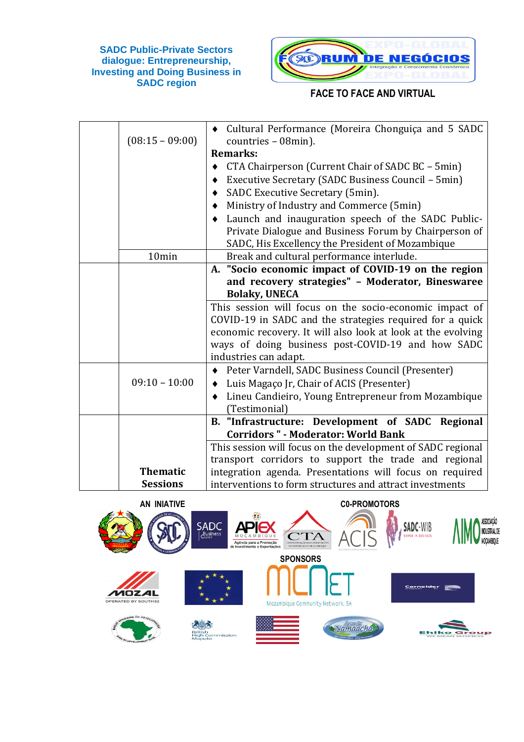

| $(08:15 - 09:00)$                  | Cultural Performance (Moreira Chonguiça and 5 SADC<br>countries - 08min).                                                                                                                                                                                                                                                                                                                                                                                                                                                                                                                                                                                                                     |
|------------------------------------|-----------------------------------------------------------------------------------------------------------------------------------------------------------------------------------------------------------------------------------------------------------------------------------------------------------------------------------------------------------------------------------------------------------------------------------------------------------------------------------------------------------------------------------------------------------------------------------------------------------------------------------------------------------------------------------------------|
|                                    | <b>Remarks:</b>                                                                                                                                                                                                                                                                                                                                                                                                                                                                                                                                                                                                                                                                               |
|                                    | CTA Chairperson (Current Chair of SADC BC - 5min)<br>٠                                                                                                                                                                                                                                                                                                                                                                                                                                                                                                                                                                                                                                        |
|                                    | Executive Secretary (SADC Business Council - 5min)                                                                                                                                                                                                                                                                                                                                                                                                                                                                                                                                                                                                                                            |
|                                    | SADC Executive Secretary (5min).                                                                                                                                                                                                                                                                                                                                                                                                                                                                                                                                                                                                                                                              |
|                                    | Ministry of Industry and Commerce (5min)                                                                                                                                                                                                                                                                                                                                                                                                                                                                                                                                                                                                                                                      |
|                                    | Launch and inauguration speech of the SADC Public-                                                                                                                                                                                                                                                                                                                                                                                                                                                                                                                                                                                                                                            |
|                                    | Private Dialogue and Business Forum by Chairperson of                                                                                                                                                                                                                                                                                                                                                                                                                                                                                                                                                                                                                                         |
|                                    | SADC, His Excellency the President of Mozambique                                                                                                                                                                                                                                                                                                                                                                                                                                                                                                                                                                                                                                              |
| 10min                              | Break and cultural performance interlude.                                                                                                                                                                                                                                                                                                                                                                                                                                                                                                                                                                                                                                                     |
|                                    | A. "Socio economic impact of COVID-19 on the region                                                                                                                                                                                                                                                                                                                                                                                                                                                                                                                                                                                                                                           |
|                                    | and recovery strategies" - Moderator, Bineswaree                                                                                                                                                                                                                                                                                                                                                                                                                                                                                                                                                                                                                                              |
|                                    | <b>Bolaky, UNECA</b>                                                                                                                                                                                                                                                                                                                                                                                                                                                                                                                                                                                                                                                                          |
|                                    | This session will focus on the socio-economic impact of                                                                                                                                                                                                                                                                                                                                                                                                                                                                                                                                                                                                                                       |
|                                    |                                                                                                                                                                                                                                                                                                                                                                                                                                                                                                                                                                                                                                                                                               |
|                                    |                                                                                                                                                                                                                                                                                                                                                                                                                                                                                                                                                                                                                                                                                               |
|                                    |                                                                                                                                                                                                                                                                                                                                                                                                                                                                                                                                                                                                                                                                                               |
|                                    |                                                                                                                                                                                                                                                                                                                                                                                                                                                                                                                                                                                                                                                                                               |
|                                    |                                                                                                                                                                                                                                                                                                                                                                                                                                                                                                                                                                                                                                                                                               |
|                                    |                                                                                                                                                                                                                                                                                                                                                                                                                                                                                                                                                                                                                                                                                               |
|                                    |                                                                                                                                                                                                                                                                                                                                                                                                                                                                                                                                                                                                                                                                                               |
|                                    |                                                                                                                                                                                                                                                                                                                                                                                                                                                                                                                                                                                                                                                                                               |
|                                    |                                                                                                                                                                                                                                                                                                                                                                                                                                                                                                                                                                                                                                                                                               |
|                                    |                                                                                                                                                                                                                                                                                                                                                                                                                                                                                                                                                                                                                                                                                               |
|                                    |                                                                                                                                                                                                                                                                                                                                                                                                                                                                                                                                                                                                                                                                                               |
|                                    |                                                                                                                                                                                                                                                                                                                                                                                                                                                                                                                                                                                                                                                                                               |
| <b>Sessions</b>                    | interventions to form structures and attract investments                                                                                                                                                                                                                                                                                                                                                                                                                                                                                                                                                                                                                                      |
| $09:10 - 10:00$<br><b>Thematic</b> | COVID-19 in SADC and the strategies required for a quick<br>economic recovery. It will also look at look at the evolving<br>ways of doing business post-COVID-19 and how SADC<br>industries can adapt.<br>Peter Varndell, SADC Business Council (Presenter)<br>٠<br>Luis Magaço Jr, Chair of ACIS (Presenter)<br>٠<br>Lineu Candieiro, Young Entrepreneur from Mozambique<br>$\bullet$<br>(Testimonial)<br>B. "Infrastructure: Development of SADC Regional<br><b>Corridors " - Moderator: World Bank</b><br>This session will focus on the development of SADC regional<br>transport corridors to support the trade and regional<br>integration agenda. Presentations will focus on required |

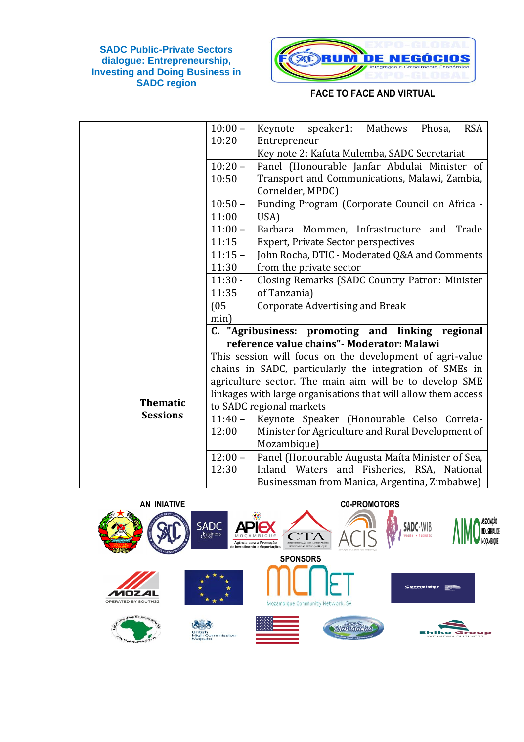

|                 | $10:00 -$ | speaker1: Mathews<br>Keynote<br>Phosa,<br><b>RSA</b>          |
|-----------------|-----------|---------------------------------------------------------------|
|                 | 10:20     | Entrepreneur                                                  |
|                 |           | Key note 2: Kafuta Mulemba, SADC Secretariat                  |
|                 | $10:20 -$ | Panel (Honourable Janfar Abdulai Minister of                  |
|                 | 10:50     | Transport and Communications, Malawi, Zambia,                 |
|                 |           | Cornelder, MPDC)                                              |
|                 | $10:50 -$ | Funding Program (Corporate Council on Africa -                |
|                 | 11:00     | USA)                                                          |
|                 | $11:00 -$ | Trade<br>Barbara Mommen, Infrastructure and                   |
|                 | 11:15     | <b>Expert, Private Sector perspectives</b>                    |
|                 | $11:15 -$ | John Rocha, DTIC - Moderated Q&A and Comments                 |
|                 | 11:30     | from the private sector                                       |
|                 | $11:30 -$ | Closing Remarks (SADC Country Patron: Minister                |
|                 | 11:35     | of Tanzania)                                                  |
|                 | (05)      | <b>Corporate Advertising and Break</b>                        |
|                 | min)      |                                                               |
|                 |           | C. "Agribusiness: promoting and linking regional              |
|                 |           | reference value chains" - Moderator: Malawi                   |
|                 |           | This session will focus on the development of agri-value      |
|                 |           | chains in SADC, particularly the integration of SMEs in       |
|                 |           | agriculture sector. The main aim will be to develop SME       |
|                 |           | linkages with large organisations that will allow them access |
| <b>Thematic</b> |           | to SADC regional markets                                      |
| <b>Sessions</b> | $11:40 -$ | Keynote Speaker (Honourable Celso Correia-                    |
|                 | 12:00     | Minister for Agriculture and Rural Development of             |
|                 |           | Mozambique)                                                   |
|                 | $12:00 -$ | Panel (Honourable Augusta Maíta Minister of Sea,              |
|                 | 12:30     | Inland Waters and Fisheries, RSA, National                    |
|                 |           | Businessman from Manica, Argentina, Zimbabwe)                 |

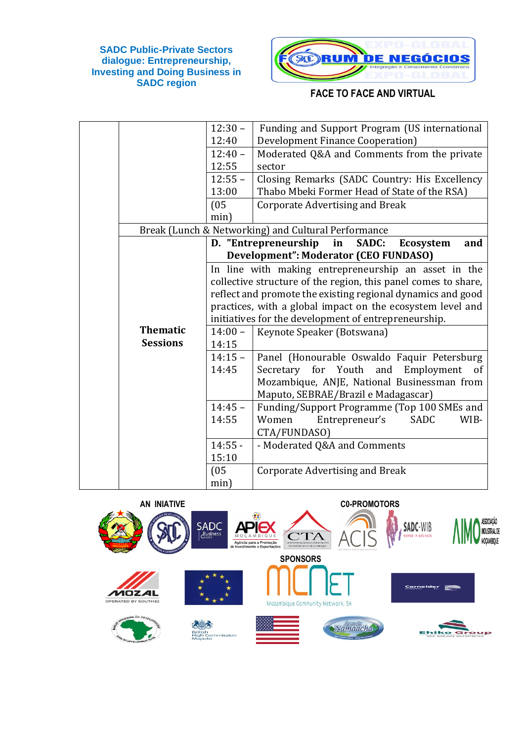

|                 | $12:30 -$ | Funding and Support Program (US international                  |
|-----------------|-----------|----------------------------------------------------------------|
|                 | 12:40     | Development Finance Cooperation)                               |
|                 | $12:40 -$ | Moderated Q&A and Comments from the private                    |
|                 | 12:55     | sector                                                         |
|                 | $12:55 -$ | Closing Remarks (SADC Country: His Excellency                  |
|                 | 13:00     | Thabo Mbeki Former Head of State of the RSA)                   |
|                 | (05)      | Corporate Advertising and Break                                |
|                 | min)      |                                                                |
|                 |           | Break (Lunch & Networking) and Cultural Performance            |
|                 |           | D. "Entrepreneurship<br>in<br>SADC:<br><b>Ecosystem</b><br>and |
|                 |           | Development": Moderator (CEO FUNDASO)                          |
|                 |           | In line with making entrepreneurship an asset in the           |
|                 |           | collective structure of the region, this panel comes to share, |
|                 |           | reflect and promote the existing regional dynamics and good    |
|                 |           | practices, with a global impact on the ecosystem level and     |
|                 |           | initiatives for the development of entrepreneurship.           |
| <b>Thematic</b> | $14:00 -$ | Keynote Speaker (Botswana)                                     |
| <b>Sessions</b> | 14:15     |                                                                |
|                 | $14:15 -$ | Panel (Honourable Oswaldo Faquir Petersburg                    |
|                 | 14:45     | Secretary for Youth and Employment<br>of                       |
|                 |           | Mozambique, ANJE, National Businessman from                    |
|                 |           | Maputo, SEBRAE/Brazil e Madagascar)                            |
|                 | $14:45 -$ | Funding/Support Programme (Top 100 SMEs and                    |
|                 | 14:55     | Entrepreneur's<br><b>SADC</b><br>Women<br>WIB-                 |
|                 |           | CTA/FUNDASO)                                                   |
|                 | $14:55 -$ | - Moderated Q&A and Comments                                   |
|                 | 15:10     |                                                                |
|                 | (05)      | <b>Corporate Advertising and Break</b>                         |
|                 | min)      |                                                                |

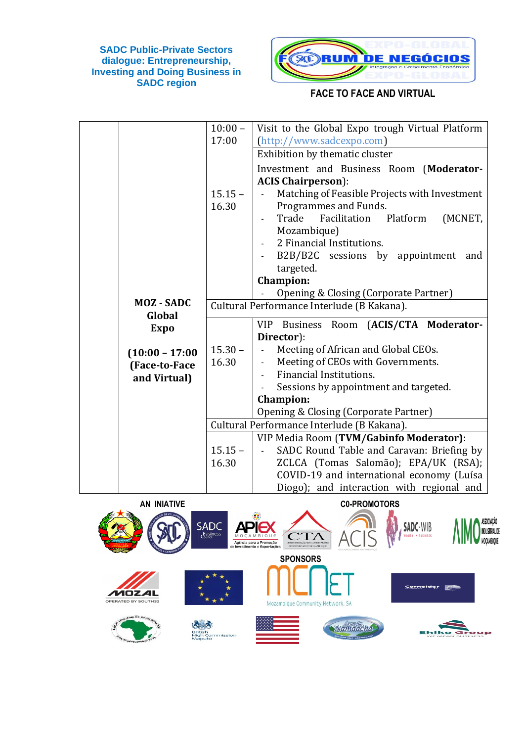

|                   | $10:00 -$ | Visit to the Global Expo trough Virtual Platform                                  |
|-------------------|-----------|-----------------------------------------------------------------------------------|
|                   | 17:00     | (http://www.sadcexpo.com)                                                         |
|                   |           | Exhibition by thematic cluster                                                    |
|                   |           | Investment and Business Room (Moderator-                                          |
|                   |           | <b>ACIS Chairperson</b> ):                                                        |
|                   | $15.15 -$ | Matching of Feasible Projects with Investment<br>$\omega$                         |
|                   | 16.30     | Programmes and Funds.                                                             |
|                   |           | Trade<br>Facilitation<br>Platform<br>(MCNET,                                      |
|                   |           | Mozambique)                                                                       |
|                   |           | 2 Financial Institutions.                                                         |
|                   |           | B2B/B2C sessions by appointment<br>and                                            |
|                   |           | targeted.                                                                         |
|                   |           | <b>Champion:</b>                                                                  |
| <b>MOZ-SADC</b>   |           | Opening & Closing (Corporate Partner)                                             |
| Global            |           | Cultural Performance Interlude (B Kakana).                                        |
| <b>Expo</b>       |           | VIP Business Room (ACIS/CTA Moderator-                                            |
|                   |           | Director):                                                                        |
| $(10:00 - 17:00)$ | $15.30 -$ | Meeting of African and Global CEOs.<br>$\blacksquare$                             |
| (Face-to-Face     | 16.30     | Meeting of CEOs with Governments.<br>$\sim$                                       |
| and Virtual)      |           | Financial Institutions.                                                           |
|                   |           | Sessions by appointment and targeted.                                             |
|                   |           | <b>Champion:</b>                                                                  |
|                   |           | Opening & Closing (Corporate Partner)                                             |
|                   |           | Cultural Performance Interlude (B Kakana).                                        |
|                   |           | VIP Media Room (TVM/Gabinfo Moderator):                                           |
|                   | $15.15 -$ | SADC Round Table and Caravan: Briefing by                                         |
|                   | 16.30     | ZCLCA (Tomas Salomão); EPA/UK (RSA);<br>COVID-19 and international economy (Luísa |
|                   |           |                                                                                   |

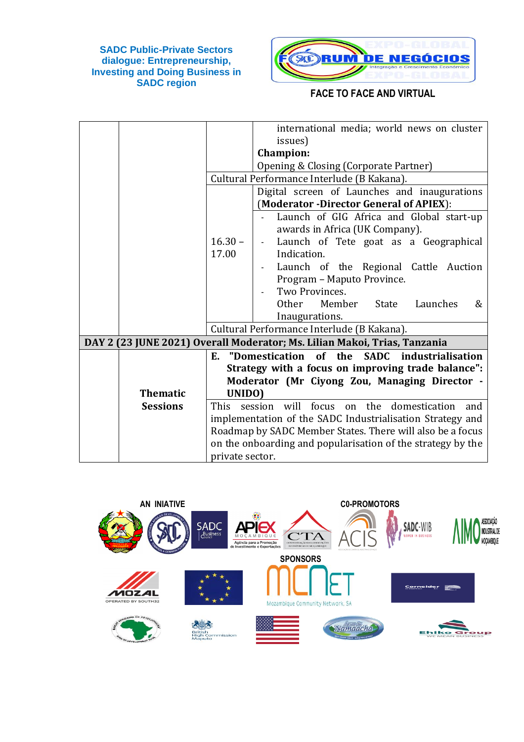

|                 |                 | international media; world news on cluster                                |
|-----------------|-----------------|---------------------------------------------------------------------------|
|                 |                 | issues)                                                                   |
|                 |                 | <b>Champion:</b>                                                          |
|                 |                 | Opening & Closing (Corporate Partner)                                     |
|                 |                 | Cultural Performance Interlude (B Kakana).                                |
|                 |                 | Digital screen of Launches and inaugurations                              |
|                 |                 | (Moderator -Director General of APIEX):                                   |
|                 |                 | Launch of GIG Africa and Global start-up                                  |
|                 |                 | awards in Africa (UK Company).                                            |
|                 | $16.30 -$       | Launch of Tete goat as a Geographical                                     |
|                 | 17.00           | Indication.                                                               |
|                 |                 | Launch of the Regional Cattle Auction                                     |
|                 |                 | Program - Maputo Province.                                                |
|                 |                 | Two Provinces.                                                            |
|                 |                 | Other<br>Member<br>State<br>Launches<br>&                                 |
|                 |                 | Inaugurations.                                                            |
|                 |                 | Cultural Performance Interlude (B Kakana).                                |
|                 |                 | DAY 2 (23 JUNE 2021) Overall Moderator; Ms. Lilian Makoi, Trias, Tanzania |
|                 |                 | SADC industrialisation<br>E. "Domestication of the                        |
|                 |                 | Strategy with a focus on improving trade balance":                        |
|                 |                 | Moderator (Mr Ciyong Zou, Managing Director -                             |
| <b>Thematic</b> | UNIDO)          |                                                                           |
| <b>Sessions</b> | This            | session will focus<br>on the domestication<br>and                         |
|                 |                 | implementation of the SADC Industrialisation Strategy and                 |
|                 |                 | Roadmap by SADC Member States. There will also be a focus                 |
|                 |                 | on the onboarding and popularisation of the strategy by the               |
|                 | private sector. |                                                                           |

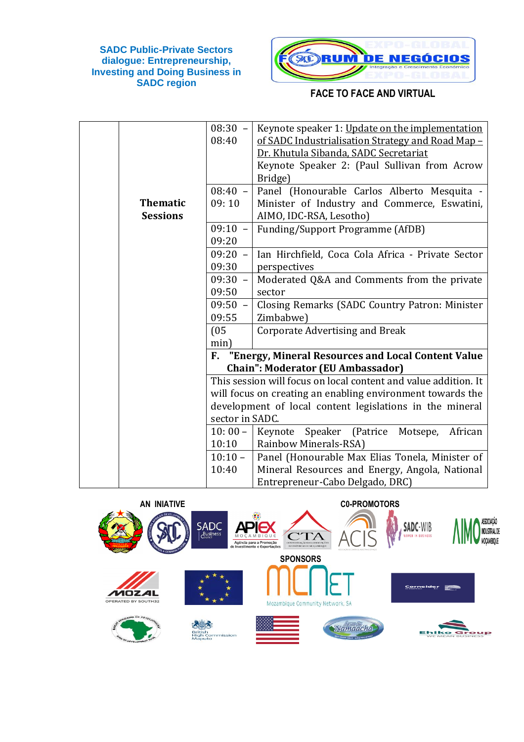

|                 | $08:30 -$       | Keynote speaker 1: Update on the implementation                 |
|-----------------|-----------------|-----------------------------------------------------------------|
|                 | 08:40           | of SADC Industrialisation Strategy and Road Map -               |
|                 |                 | Dr. Khutula Sibanda, SADC Secretariat                           |
|                 |                 | Keynote Speaker 2: (Paul Sullivan from Acrow                    |
|                 |                 | Bridge)                                                         |
|                 | $08:40 -$       | Panel (Honourable Carlos Alberto Mesquita -                     |
| <b>Thematic</b> | 09:10           | Minister of Industry and Commerce, Eswatini,                    |
| <b>Sessions</b> |                 | AIMO, IDC-RSA, Lesotho)                                         |
|                 | $09:10 -$       | Funding/Support Programme (AfDB)                                |
|                 | 09:20           |                                                                 |
|                 | $09:20 -$       | Ian Hirchfield, Coca Cola Africa - Private Sector               |
|                 | 09:30           | perspectives                                                    |
|                 | $09:30 -$       | Moderated Q&A and Comments from the private                     |
|                 | 09:50           | sector                                                          |
|                 | $09:50 -$       | Closing Remarks (SADC Country Patron: Minister                  |
|                 | 09:55           | Zimbabwe)                                                       |
|                 | (05)            | <b>Corporate Advertising and Break</b>                          |
|                 | min)            |                                                                 |
|                 |                 | F. "Energy, Mineral Resources and Local Content Value           |
|                 |                 | <b>Chain": Moderator (EU Ambassador)</b>                        |
|                 |                 | This session will focus on local content and value addition. It |
|                 |                 | will focus on creating an enabling environment towards the      |
|                 |                 | development of local content legislations in the mineral        |
|                 | sector in SADC. |                                                                 |
|                 | $10:00 -$       | Keynote Speaker (Patrice Motsepe,<br>African                    |
|                 | 10:10           | Rainbow Minerals-RSA)                                           |
|                 | $10:10 -$       | Panel (Honourable Max Elias Tonela, Minister of                 |
|                 | 10:40           | Mineral Resources and Energy, Angola, National                  |
|                 |                 | Entrepreneur-Cabo Delgado, DRC)                                 |

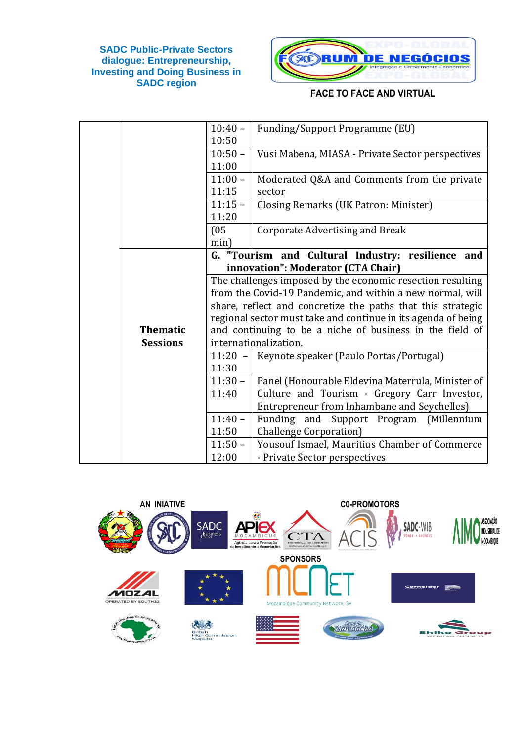

|                 | $10:40 -$ | <b>Funding/Support Programme (EU)</b>                         |
|-----------------|-----------|---------------------------------------------------------------|
|                 | 10:50     |                                                               |
|                 | $10:50 -$ | Vusi Mabena, MIASA - Private Sector perspectives              |
|                 | 11:00     |                                                               |
|                 | $11:00 -$ | Moderated Q&A and Comments from the private                   |
|                 | 11:15     | sector                                                        |
|                 | $11:15 -$ | Closing Remarks (UK Patron: Minister)                         |
|                 | 11:20     |                                                               |
|                 | (05)      | <b>Corporate Advertising and Break</b>                        |
|                 | min)      |                                                               |
|                 |           | G. "Tourism and Cultural Industry: resilience and             |
|                 |           | innovation": Moderator (CTA Chair)                            |
|                 |           | The challenges imposed by the economic resection resulting    |
|                 |           | from the Covid-19 Pandemic, and within a new normal, will     |
|                 |           | share, reflect and concretize the paths that this strategic   |
|                 |           | regional sector must take and continue in its agenda of being |
| <b>Thematic</b> |           | and continuing to be a niche of business in the field of      |
| <b>Sessions</b> |           | internationalization.                                         |
|                 | $11:20 -$ | Keynote speaker (Paulo Portas/Portugal)                       |
|                 | 11:30     |                                                               |
|                 | $11:30 -$ | Panel (Honourable Eldevina Materrula, Minister of             |
|                 | 11:40     | Culture and Tourism - Gregory Carr Investor,                  |
|                 |           | Entrepreneur from Inhambane and Seychelles)                   |
|                 | $11:40 -$ | (Millennium<br>Funding and Support Program                    |
|                 | 11:50     | <b>Challenge Corporation</b> )                                |
|                 | $11:50 -$ | Yousouf Ismael, Mauritius Chamber of Commerce                 |
|                 | 12:00     | - Private Sector perspectives                                 |

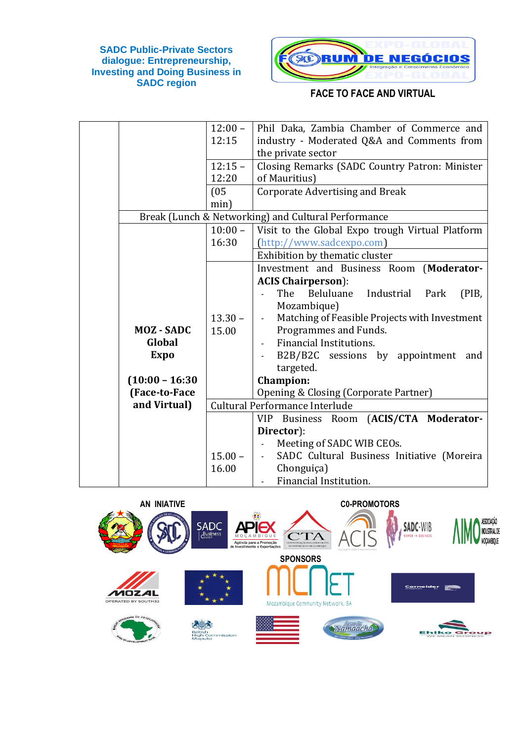

|                   | $12:00 -$ | Phil Daka, Zambia Chamber of Commerce and           |
|-------------------|-----------|-----------------------------------------------------|
|                   | 12:15     | industry - Moderated Q&A and Comments from          |
|                   |           | the private sector                                  |
|                   | $12:15 -$ | Closing Remarks (SADC Country Patron: Minister      |
|                   | 12:20     | of Mauritius)                                       |
|                   | (05)      | <b>Corporate Advertising and Break</b>              |
|                   | min)      |                                                     |
|                   |           | Break (Lunch & Networking) and Cultural Performance |
|                   | $10:00 -$ | Visit to the Global Expo trough Virtual Platform    |
|                   | 16:30     | (http://www.sadcexpo.com)                           |
|                   |           | Exhibition by thematic cluster                      |
|                   |           | Investment and Business Room (Moderator-            |
|                   |           | <b>ACIS Chairperson</b> ):                          |
|                   |           | The<br>Beluluane<br>Industrial Park<br>(PIB,        |
|                   |           | Mozambique)                                         |
|                   | $13.30 -$ | Matching of Feasible Projects with Investment       |
| <b>MOZ-SADC</b>   | 15.00     | Programmes and Funds.                               |
| Global            |           | Financial Institutions.                             |
| <b>Expo</b>       |           | B2B/B2C sessions by appointment<br>and              |
|                   |           | targeted.                                           |
| $(10:00 - 16:30)$ |           | <b>Champion:</b>                                    |
| (Face-to-Face     |           | Opening & Closing (Corporate Partner)               |
| and Virtual)      |           | Cultural Performance Interlude                      |
|                   |           | VIP Business Room (ACIS/CTA Moderator-              |
|                   |           | Director):                                          |
|                   |           | Meeting of SADC WIB CEOs.                           |
|                   | $15.00 -$ | SADC Cultural Business Initiative (Moreira          |
|                   | 16.00     | Chonguiça)                                          |
|                   |           | Financial Institution.                              |

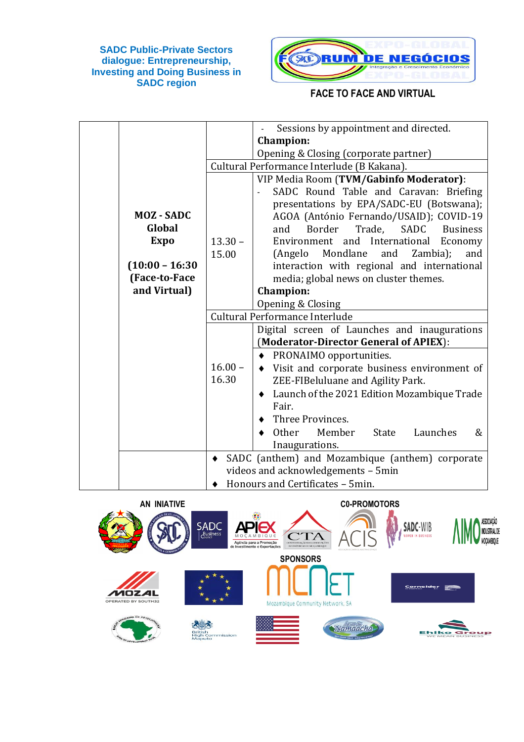

|           | Sessions by appointment and directed.                                                 |
|-----------|---------------------------------------------------------------------------------------|
|           | <b>Champion:</b>                                                                      |
|           | Opening & Closing (corporate partner)                                                 |
|           | Cultural Performance Interlude (B Kakana).                                            |
|           | VIP Media Room (TVM/Gabinfo Moderator):                                               |
|           | SADC Round Table and Caravan: Briefing                                                |
|           | presentations by EPA/SADC-EU (Botswana);                                              |
|           | AGOA (António Fernando/USAID); COVID-19                                               |
|           | Border<br>Trade,<br>SADC<br>and<br><b>Business</b>                                    |
| $13.30 -$ | Environment and International<br>Economy                                              |
| 15.00     | Mondlane<br>(Angelo<br>and<br>Zambia);<br>and                                         |
|           | interaction with regional and international                                           |
|           | media; global news on cluster themes.                                                 |
|           | <b>Champion:</b>                                                                      |
|           | Opening & Closing                                                                     |
|           | Cultural Performance Interlude                                                        |
|           | Digital screen of Launches and inaugurations                                          |
|           | (Moderator-Director General of APIEX):                                                |
|           | • PRONAIMO opportunities.                                                             |
| $16.00 -$ | Visit and corporate business environment of                                           |
| 16.30     | ZEE-FIBeluluane and Agility Park.                                                     |
|           | Launch of the 2021 Edition Mozambique Trade<br>٠                                      |
|           | Fair.                                                                                 |
|           | Three Provinces.                                                                      |
|           | Other<br>Member<br>State<br>Launches<br>&                                             |
|           | Inaugurations.                                                                        |
|           |                                                                                       |
|           |                                                                                       |
|           | SADC (anthem) and Mozambique (anthem) corporate<br>videos and acknowledgements - 5min |
|           |                                                                                       |